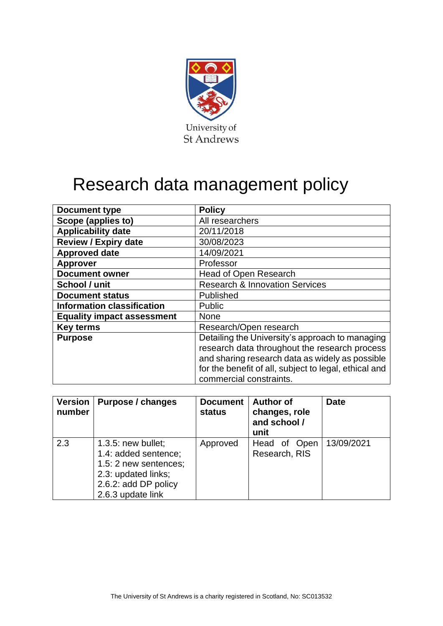

# Research data management policy

| <b>Document type</b>              | <b>Policy</b>                                         |
|-----------------------------------|-------------------------------------------------------|
| Scope (applies to)                | All researchers                                       |
| <b>Applicability date</b>         | 20/11/2018                                            |
| <b>Review / Expiry date</b>       | 30/08/2023                                            |
| <b>Approved date</b>              | 14/09/2021                                            |
| <b>Approver</b>                   | Professor                                             |
| <b>Document owner</b>             | <b>Head of Open Research</b>                          |
| School / unit                     | <b>Research &amp; Innovation Services</b>             |
| <b>Document status</b>            | Published                                             |
| <b>Information classification</b> | <b>Public</b>                                         |
| <b>Equality impact assessment</b> | None                                                  |
| <b>Key terms</b>                  | Research/Open research                                |
| <b>Purpose</b>                    | Detailing the University's approach to managing       |
|                                   | research data throughout the research process         |
|                                   | and sharing research data as widely as possible       |
|                                   | for the benefit of all, subject to legal, ethical and |
|                                   | commercial constraints.                               |

| <b>Version</b><br>number | Purpose / changes                                                                                                                          | <b>Document</b><br><b>status</b> | <b>Author of</b><br>changes, role<br>and school /<br>unit | <b>Date</b> |
|--------------------------|--------------------------------------------------------------------------------------------------------------------------------------------|----------------------------------|-----------------------------------------------------------|-------------|
| 2.3                      | $1.3.5$ : new bullet;<br>1.4: added sentence;<br>1.5: 2 new sentences;<br>2.3: updated links;<br>2.6.2: add DP policy<br>2.6.3 update link | Approved                         | Head of Open<br>Research, RIS                             | 13/09/2021  |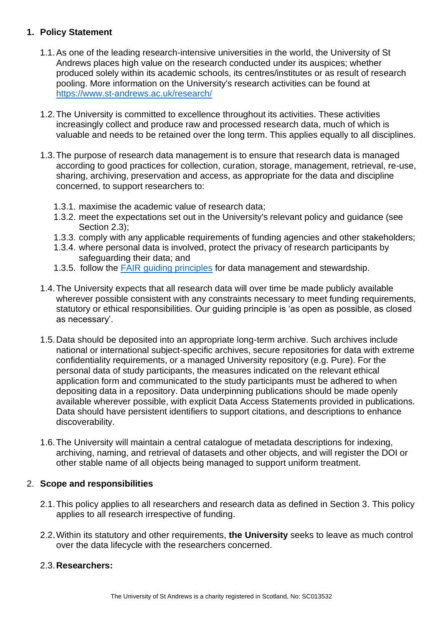### **1. Policy Statement**

- 1.1.As one of the leading research-intensive universities in the world, the University of St Andrews places high value on the research conducted under its auspices; whether produced solely within its academic schools, its centres/institutes or as result of research pooling. More information on the University's research activities can be found at [https://www.st-andrews.ac.uk/research/](As%20one%20of%20the%20leading%20research-intensive%20universities%20in%20the%20world,%20the%20University%20of%20St%20Andrews%20places%20high%20value%20on%20the%20research%20conducted%20under%20its%20auspices;%20whether%20produced%20solely%20within%20its%20academic%20schools,%20its%20centres/institutes%20or%20as%20result%20of%20research%20pooling.%20More%20information%20on%20the%20University)
- 1.2.The University is committed to excellence throughout its activities. These activities increasingly collect and produce raw and processed research data, much of which is valuable and needs to be retained over the long term. This applies equally to all disciplines.
- 1.3.The purpose of research data management is to ensure that research data is managed according to good practices for collection, curation, storage, management, retrieval, re-use, sharing, archiving, preservation and access, as appropriate for the data and discipline concerned, to support researchers to:
	- 1.3.1. maximise the academic value of research data;
	- 1.3.2. meet the expectations set out in the University's relevant policy and guidance (see Section 2.3);
	- 1.3.3. comply with any applicable requirements of funding agencies and other stakeholders;
	- 1.3.4. where personal data is involved, protect the privacy of research participants by safeguarding their data; and
	- 1.3.5. follow the [FAIR guiding principles](https://www.go-fair.org/fair-principles/) for data management and stewardship.
- 1.4.The University expects that all research data will over time be made publicly available wherever possible consistent with any constraints necessary to meet funding requirements, statutory or ethical responsibilities. Our guiding principle is 'as open as possible, as closed as necessary'.
- 1.5.Data should be deposited into an appropriate long-term archive. Such archives include national or international subject-specific archives, secure repositories for data with extreme confidentiality requirements, or a managed University repository (e.g. Pure). For the personal data of study participants, the measures indicated on the relevant ethical application form and communicated to the study participants must be adhered to when depositing data in a repository. Data underpinning publications should be made openly available wherever possible, with explicit Data Access Statements provided in publications. Data should have persistent identifiers to support citations, and descriptions to enhance discoverability.
- 1.6.The University will maintain a central catalogue of metadata descriptions for indexing, archiving, naming, and retrieval of datasets and other objects, and will register the DOI or other stable name of all objects being managed to support uniform treatment.

#### 2. **Scope and responsibilities**

- 2.1.This policy applies to all researchers and research data as defined in Section 3. This policy applies to all research irrespective of funding.
- 2.2.Within its statutory and other requirements, **the University** seeks to leave as much control over the data lifecycle with the researchers concerned.

#### 2.3.**Researchers:**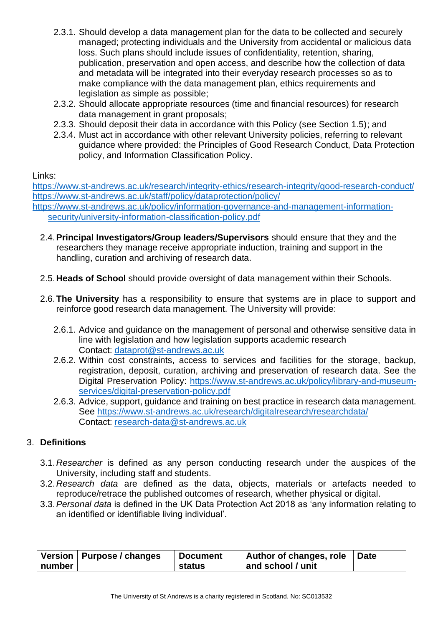- 2.3.1. Should develop a data management plan for the data to be collected and securely managed; protecting individuals and the University from accidental or malicious data loss. Such plans should include issues of confidentiality, retention, sharing, publication, preservation and open access, and describe how the collection of data and metadata will be integrated into their everyday research processes so as to make compliance with the data management plan, ethics requirements and legislation as simple as possible;
- 2.3.2. Should allocate appropriate resources (time and financial resources) for research data management in grant proposals;
- 2.3.3. Should deposit their data in accordance with this Policy (see Section 1.5); and
- 2.3.4. Must act in accordance with other relevant University policies, referring to relevant guidance where provided: the Principles of Good Research Conduct, Data Protection policy, and Information Classification Policy.

Links:

<https://www.st-andrews.ac.uk/research/integrity-ethics/research-integrity/good-research-conduct/> <https://www.st-andrews.ac.uk/staff/policy/dataprotection/policy/> [https://www.st-andrews.ac.uk/policy/information-governance-and-management-information-](https://www.st-andrews.ac.uk/policy/information-governance-and-management-information-security/university-information-classification-policy.pdf)

[security/university-information-classification-policy.pdf](https://www.st-andrews.ac.uk/policy/information-governance-and-management-information-security/university-information-classification-policy.pdf)

- 2.4.**Principal Investigators/Group leaders/Supervisors** should ensure that they and the researchers they manage receive appropriate induction, training and support in the handling, curation and archiving of research data.
- 2.5.**Heads of School** should provide oversight of data management within their Schools.
- 2.6.**The University** has a responsibility to ensure that systems are in place to support and reinforce good research data management. The University will provide:
	- 2.6.1. Advice and guidance on the management of personal and otherwise sensitive data in line with legislation and how legislation supports academic research Contact: [dataprot@st-andrews.ac.uk](mailto:research-data@st-andrews.ac.uk)
	- 2.6.2. Within cost constraints, access to services and facilities for the storage, backup, registration, deposit, curation, archiving and preservation of research data. See the Digital Preservation Policy: [https://www.st-andrews.ac.uk/policy/library-and-museum](https://www.st-andrews.ac.uk/policy/library-and-museum-services/digital-preservation-policy.pdf)[services/digital-preservation-policy.pdf](https://www.st-andrews.ac.uk/policy/library-and-museum-services/digital-preservation-policy.pdf)
	- 2.6.3. Advice, support, guidance and training on best practice in research data management. See<https://www.st-andrews.ac.uk/research/digitalresearch/researchdata/> Contact: [research-data@st-andrews.ac.uk](https://www.st-andrews.ac.uk/library/services/researchsupport/researchdata/)

## 3. **Definitions**

- 3.1.*Researcher* is defined as any person conducting research under the auspices of the University, including staff and students.
- 3.2.*Research data* are defined as the data, objects, materials or artefacts needed to reproduce/retrace the published outcomes of research, whether physical or digital.
- 3.3.*Personal data* is defined in the UK Data Protection Act 2018 as 'any information relating to an identified or identifiable living individual'.

|            | Version   Purpose / changes | <b>Document</b> | Author of changes, role   Date |  |
|------------|-----------------------------|-----------------|--------------------------------|--|
| ∣ number ∣ |                             | status          | and school / unit              |  |